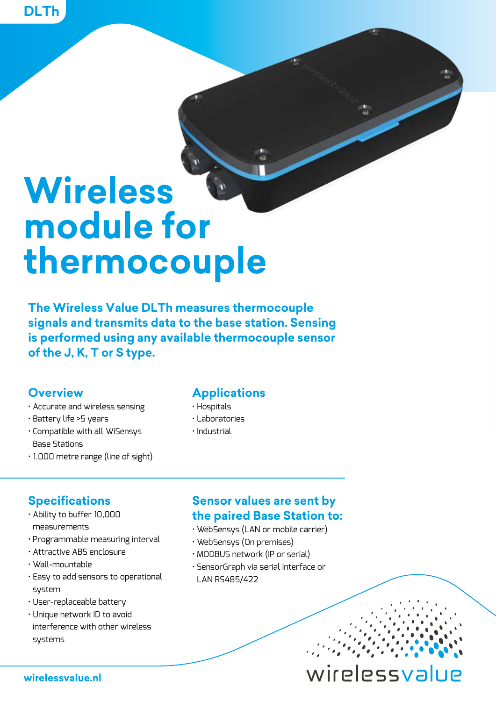# **Wireless module for thermocouple**

**The Wireless Value DLTh measures thermocouple signals and transmits data to the base station. Sensing is performed using any available thermocouple sensor of the J, K, T or S type.**

#### **Overview**

- Accurate and wireless sensing
- Battery life >5 years
- Compatible with all WiSensys Base Stations
- 1.000 metre range (line of sight)

#### **Applications**

- Hospitals
- Laboratories
- Industrial

#### **Specifications**

- Ability to buffer 10,000 measurements
- Programmable measuring interval
- Attractive ABS enclosure
- Wall-mountable
- Easy to add sensors to operational system
- User-replaceable battery
- Unique network ID to avoid interference with other wireless systems

#### **Sensor values are sent by the paired Base Station to:**

- WebSensys (LAN or mobile carrier)
- WebSensys (On premises)
- MODBUS network (IP or serial)
- SensorGraph via serial interface or LAN RS485/422

wirelessvalue

**wirelessvalue.nl**